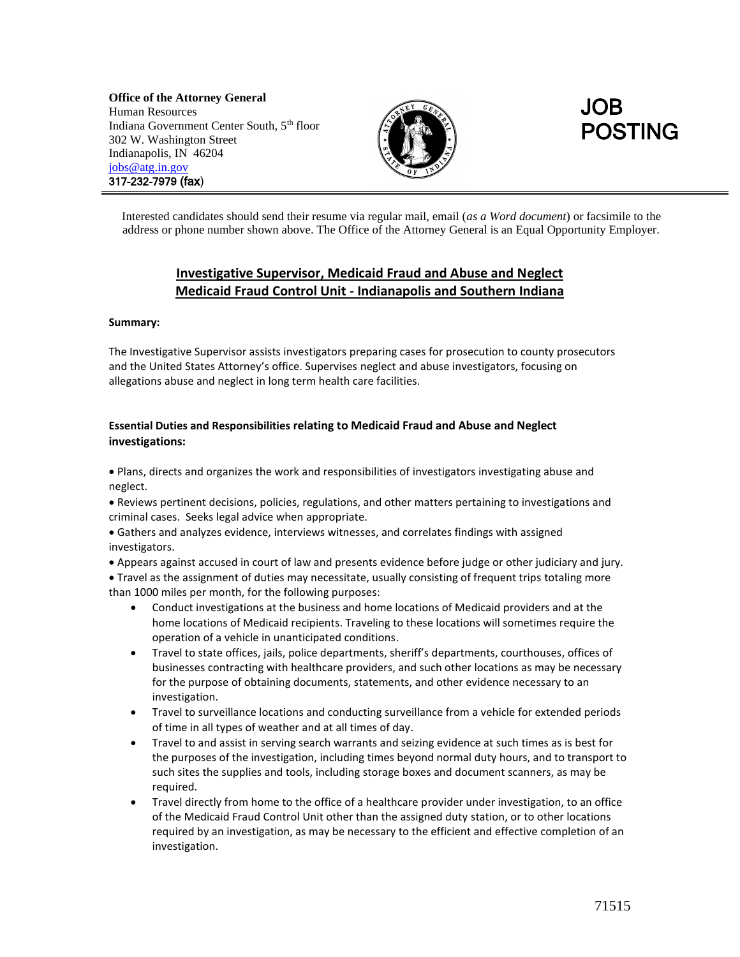**Office of the Attorney General** Human Resources Indiana Government Center South, 5th floor 302 W. Washington Street Indianapolis, IN 46204 [jobs@atg.in.gov](mailto:jobs@atg.in.gov) 317-232-7979 (fax)





Interested candidates should send their resume via regular mail, email (*as a Word document*) or facsimile to the address or phone number shown above. The Office of the Attorney General is an Equal Opportunity Employer.

# **Investigative Supervisor, Medicaid Fraud and Abuse and Neglect Medicaid Fraud Control Unit - Indianapolis and Southern Indiana**

### **Summary:**

The Investigative Supervisor assists investigators preparing cases for prosecution to county prosecutors and the United States Attorney's office. Supervises neglect and abuse investigators, focusing on allegations abuse and neglect in long term health care facilities.

# **Essential Duties and Responsibilities relating to Medicaid Fraud and Abuse and Neglect investigations:**

• Plans, directs and organizes the work and responsibilities of investigators investigating abuse and neglect.

- Reviews pertinent decisions, policies, regulations, and other matters pertaining to investigations and criminal cases. Seeks legal advice when appropriate.
- Gathers and analyzes evidence, interviews witnesses, and correlates findings with assigned investigators.
- Appears against accused in court of law and presents evidence before judge or other judiciary and jury.
- Travel as the assignment of duties may necessitate, usually consisting of frequent trips totaling more than 1000 miles per month, for the following purposes:
	- Conduct investigations at the business and home locations of Medicaid providers and at the home locations of Medicaid recipients. Traveling to these locations will sometimes require the operation of a vehicle in unanticipated conditions.
	- Travel to state offices, jails, police departments, sheriff's departments, courthouses, offices of businesses contracting with healthcare providers, and such other locations as may be necessary for the purpose of obtaining documents, statements, and other evidence necessary to an investigation.
	- Travel to surveillance locations and conducting surveillance from a vehicle for extended periods of time in all types of weather and at all times of day.
	- Travel to and assist in serving search warrants and seizing evidence at such times as is best for the purposes of the investigation, including times beyond normal duty hours, and to transport to such sites the supplies and tools, including storage boxes and document scanners, as may be required.
	- Travel directly from home to the office of a healthcare provider under investigation, to an office of the Medicaid Fraud Control Unit other than the assigned duty station, or to other locations required by an investigation, as may be necessary to the efficient and effective completion of an investigation.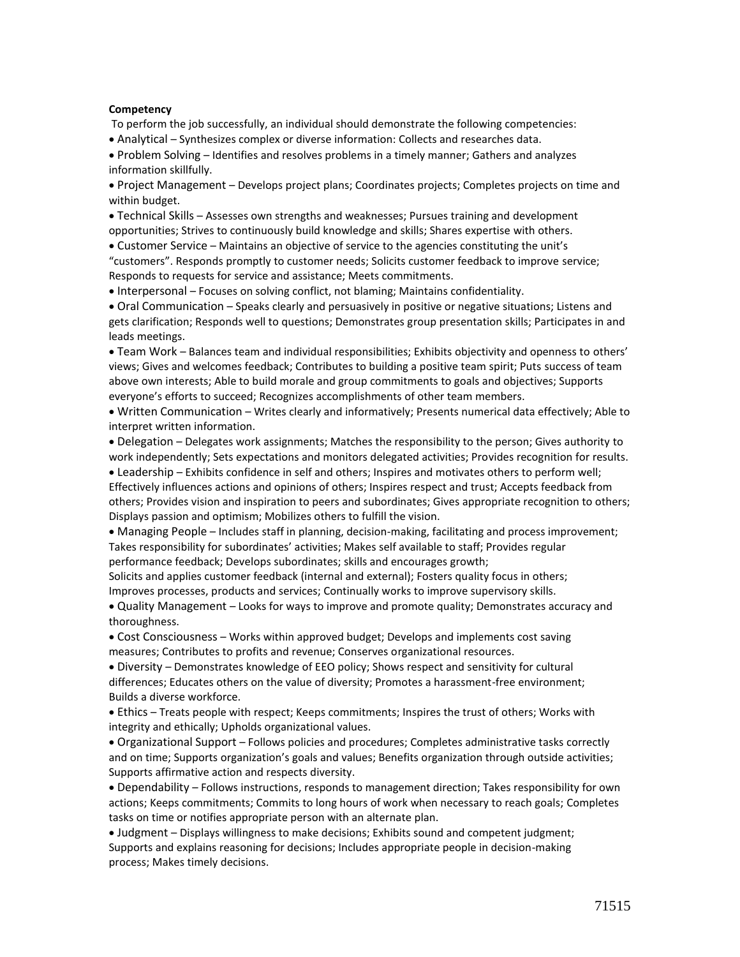# **Competency**

To perform the job successfully, an individual should demonstrate the following competencies:

• Analytical – Synthesizes complex or diverse information: Collects and researches data.

• Problem Solving – Identifies and resolves problems in a timely manner; Gathers and analyzes information skillfully.

• Project Management – Develops project plans; Coordinates projects; Completes projects on time and within budget.

• Technical Skills – Assesses own strengths and weaknesses; Pursues training and development opportunities; Strives to continuously build knowledge and skills; Shares expertise with others.

• Customer Service – Maintains an objective of service to the agencies constituting the unit's "customers". Responds promptly to customer needs; Solicits customer feedback to improve service; Responds to requests for service and assistance; Meets commitments.

• Interpersonal – Focuses on solving conflict, not blaming; Maintains confidentiality.

• Oral Communication – Speaks clearly and persuasively in positive or negative situations; Listens and gets clarification; Responds well to questions; Demonstrates group presentation skills; Participates in and leads meetings.

• Team Work – Balances team and individual responsibilities; Exhibits objectivity and openness to others' views; Gives and welcomes feedback; Contributes to building a positive team spirit; Puts success of team above own interests; Able to build morale and group commitments to goals and objectives; Supports everyone's efforts to succeed; Recognizes accomplishments of other team members.

• Written Communication – Writes clearly and informatively; Presents numerical data effectively; Able to interpret written information.

• Delegation – Delegates work assignments; Matches the responsibility to the person; Gives authority to work independently; Sets expectations and monitors delegated activities; Provides recognition for results.

• Leadership – Exhibits confidence in self and others; Inspires and motivates others to perform well; Effectively influences actions and opinions of others; Inspires respect and trust; Accepts feedback from others; Provides vision and inspiration to peers and subordinates; Gives appropriate recognition to others; Displays passion and optimism; Mobilizes others to fulfill the vision.

• Managing People – Includes staff in planning, decision-making, facilitating and process improvement; Takes responsibility for subordinates' activities; Makes self available to staff; Provides regular performance feedback; Develops subordinates; skills and encourages growth;

Solicits and applies customer feedback (internal and external); Fosters quality focus in others; Improves processes, products and services; Continually works to improve supervisory skills.

• Quality Management – Looks for ways to improve and promote quality; Demonstrates accuracy and thoroughness.

• Cost Consciousness – Works within approved budget; Develops and implements cost saving measures; Contributes to profits and revenue; Conserves organizational resources.

• Diversity – Demonstrates knowledge of EEO policy; Shows respect and sensitivity for cultural differences; Educates others on the value of diversity; Promotes a harassment-free environment; Builds a diverse workforce.

• Ethics – Treats people with respect; Keeps commitments; Inspires the trust of others; Works with integrity and ethically; Upholds organizational values.

• Organizational Support – Follows policies and procedures; Completes administrative tasks correctly and on time; Supports organization's goals and values; Benefits organization through outside activities; Supports affirmative action and respects diversity.

• Dependability – Follows instructions, responds to management direction; Takes responsibility for own actions; Keeps commitments; Commits to long hours of work when necessary to reach goals; Completes tasks on time or notifies appropriate person with an alternate plan.

• Judgment – Displays willingness to make decisions; Exhibits sound and competent judgment; Supports and explains reasoning for decisions; Includes appropriate people in decision-making process; Makes timely decisions.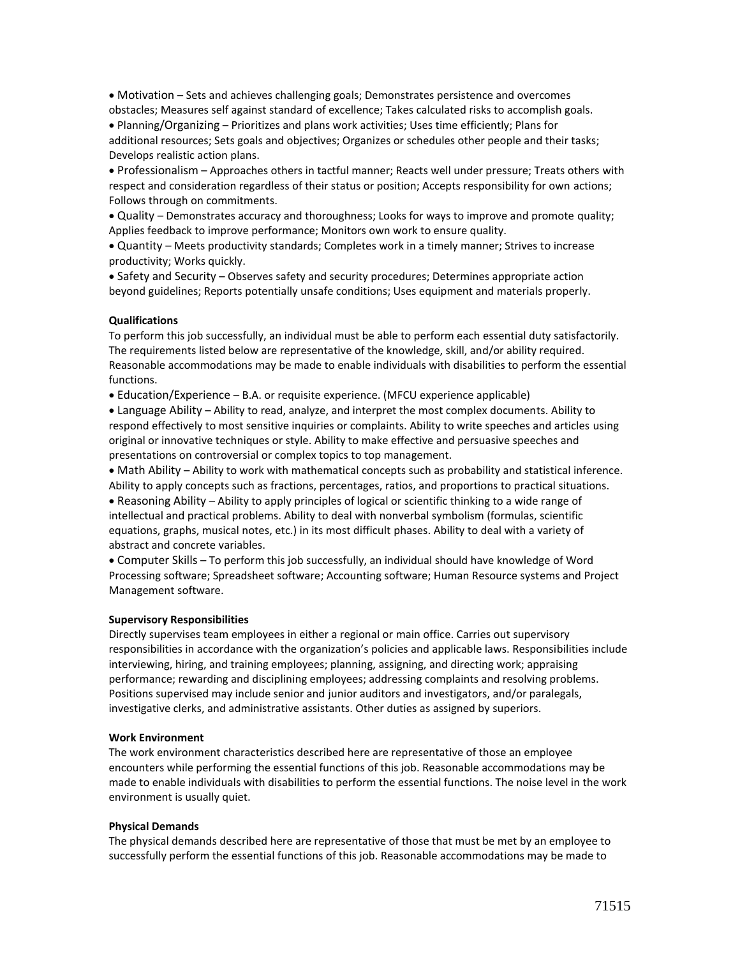• Motivation – Sets and achieves challenging goals; Demonstrates persistence and overcomes obstacles; Measures self against standard of excellence; Takes calculated risks to accomplish goals.

• Planning/Organizing – Prioritizes and plans work activities; Uses time efficiently; Plans for additional resources; Sets goals and objectives; Organizes or schedules other people and their tasks; Develops realistic action plans.

• Professionalism – Approaches others in tactful manner; Reacts well under pressure; Treats others with respect and consideration regardless of their status or position; Accepts responsibility for own actions; Follows through on commitments.

• Quality – Demonstrates accuracy and thoroughness; Looks for ways to improve and promote quality; Applies feedback to improve performance; Monitors own work to ensure quality.

• Quantity – Meets productivity standards; Completes work in a timely manner; Strives to increase productivity; Works quickly.

• Safety and Security – Observes safety and security procedures; Determines appropriate action beyond guidelines; Reports potentially unsafe conditions; Uses equipment and materials properly.

## **Qualifications**

To perform this job successfully, an individual must be able to perform each essential duty satisfactorily. The requirements listed below are representative of the knowledge, skill, and/or ability required. Reasonable accommodations may be made to enable individuals with disabilities to perform the essential functions.

• Education/Experience – B.A. or requisite experience. (MFCU experience applicable)

• Language Ability – Ability to read, analyze, and interpret the most complex documents. Ability to respond effectively to most sensitive inquiries or complaints. Ability to write speeches and articles using original or innovative techniques or style. Ability to make effective and persuasive speeches and presentations on controversial or complex topics to top management.

• Math Ability – Ability to work with mathematical concepts such as probability and statistical inference. Ability to apply concepts such as fractions, percentages, ratios, and proportions to practical situations.

• Reasoning Ability – Ability to apply principles of logical or scientific thinking to a wide range of intellectual and practical problems. Ability to deal with nonverbal symbolism (formulas, scientific equations, graphs, musical notes, etc.) in its most difficult phases. Ability to deal with a variety of abstract and concrete variables.

• Computer Skills – To perform this job successfully, an individual should have knowledge of Word Processing software; Spreadsheet software; Accounting software; Human Resource systems and Project Management software.

### **Supervisory Responsibilities**

Directly supervises team employees in either a regional or main office. Carries out supervisory responsibilities in accordance with the organization's policies and applicable laws. Responsibilities include interviewing, hiring, and training employees; planning, assigning, and directing work; appraising performance; rewarding and disciplining employees; addressing complaints and resolving problems. Positions supervised may include senior and junior auditors and investigators, and/or paralegals, investigative clerks, and administrative assistants. Other duties as assigned by superiors.

#### **Work Environment**

The work environment characteristics described here are representative of those an employee encounters while performing the essential functions of this job. Reasonable accommodations may be made to enable individuals with disabilities to perform the essential functions. The noise level in the work environment is usually quiet.

### **Physical Demands**

The physical demands described here are representative of those that must be met by an employee to successfully perform the essential functions of this job. Reasonable accommodations may be made to